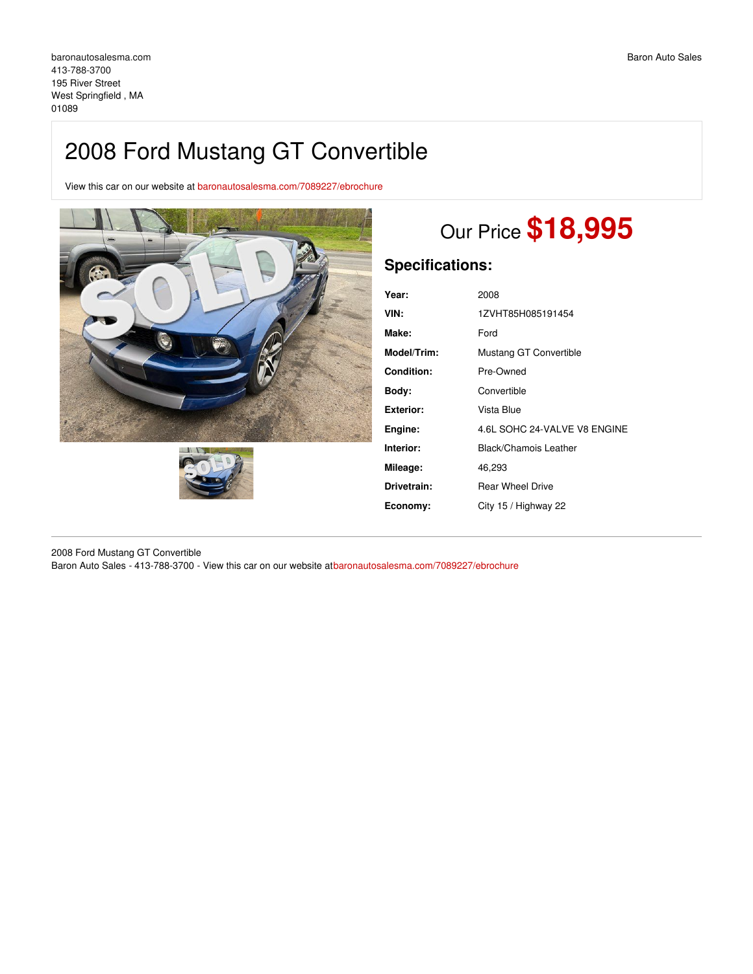## 2008 Ford Mustang GT Convertible

View this car on our website at [baronautosalesma.com/7089227/ebrochure](https://baronautosalesma.com/vehicle/7089227/2008-ford-mustang-gt-convertible-west-springfield-ma-01089/7089227/ebrochure)





# Our Price **\$18,995**

### **Specifications:**

| Year:             | 2008                         |
|-------------------|------------------------------|
| VIN:              | 1ZVHT85H085191454            |
| Make:             | Ford                         |
| Model/Trim:       | Mustang GT Convertible       |
| <b>Condition:</b> | Pre-Owned                    |
| Body:             | Convertible                  |
| <b>Exterior:</b>  | Vista Blue                   |
| Engine:           | 4.6L SOHC 24-VALVE V8 ENGINE |
| Interior:         | Black/Chamois Leather        |
| Mileage:          | 46,293                       |
| Drivetrain:       | <b>Rear Wheel Drive</b>      |
| Economy:          | City 15 / Highway 22         |

2008 Ford Mustang GT Convertible Baron Auto Sales - 413-788-3700 - View this car on our website at[baronautosalesma.com/7089227/ebrochure](https://baronautosalesma.com/vehicle/7089227/2008-ford-mustang-gt-convertible-west-springfield-ma-01089/7089227/ebrochure)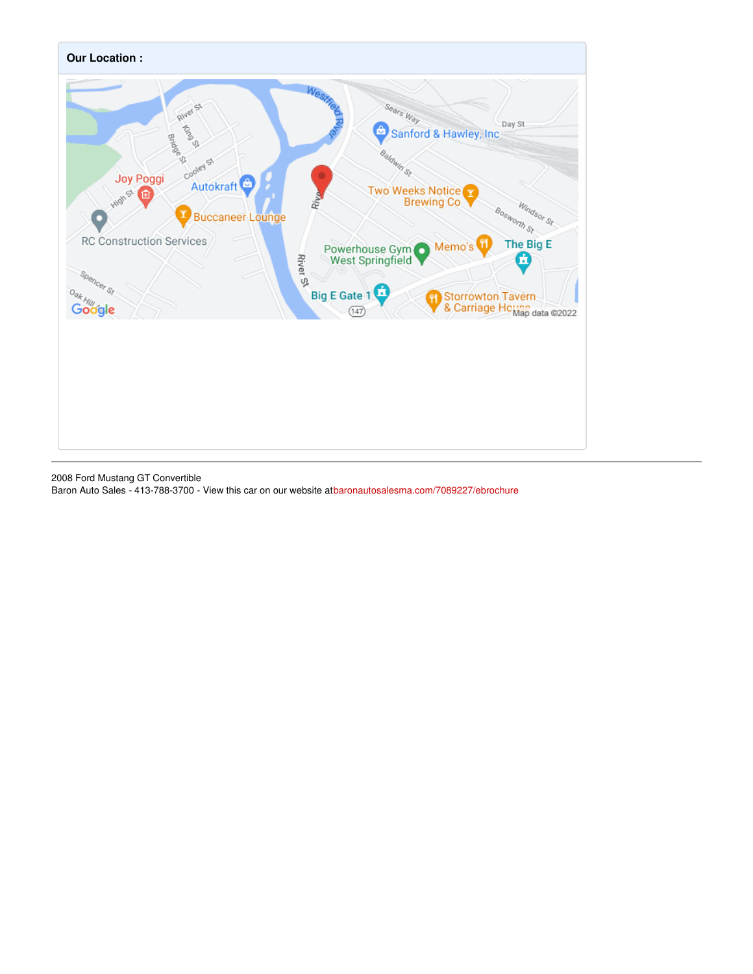

2008 Ford Mustang GT Convertible

Baron Auto Sales - 413-788-3700 - View this car on our website at[baronautosalesma.com/7089227/ebrochure](https://baronautosalesma.com/vehicle/7089227/2008-ford-mustang-gt-convertible-west-springfield-ma-01089/7089227/ebrochure)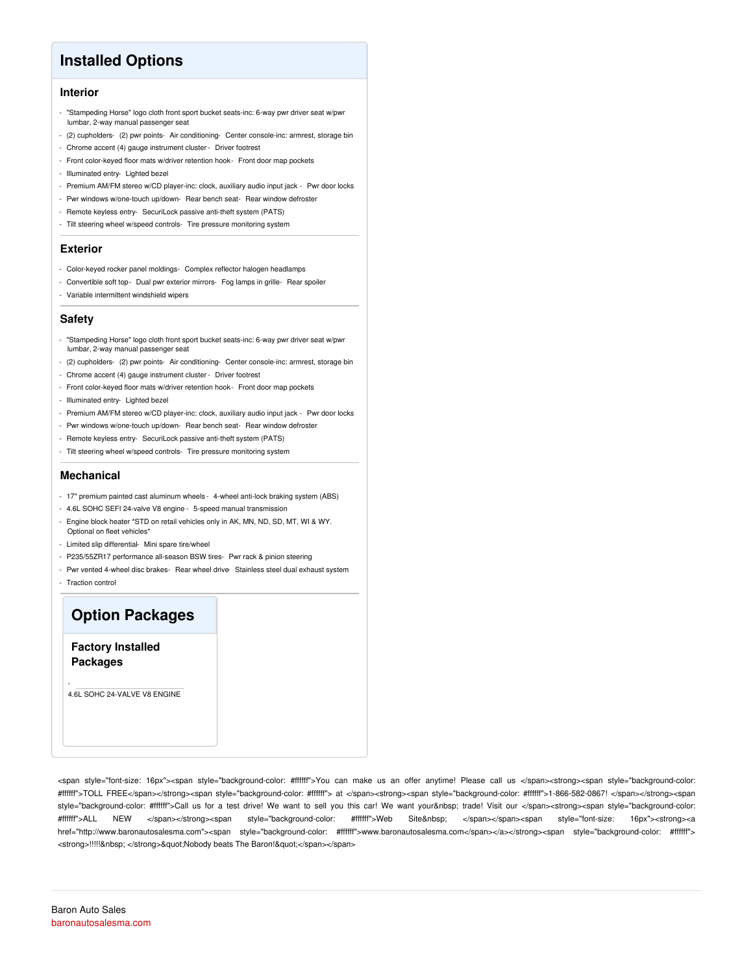## **Installed Options**

#### **Interior**

- "Stampeding Horse" logo cloth front sport bucket seats-inc: 6-way pwr driver seat w/pwr lumbar, 2-way manual passenger seat
- (2) cupholders- (2) pwr points- Air conditioning- Center console-inc: armrest, storage bin
- Chrome accent (4) gauge instrument cluster Driver footrest
- Front color-keyed floor mats w/driver retention hook- Front door map pockets
- Illuminated entry- Lighted bezel
- Premium AM/FM stereo w/CD player-inc: clock, auxiliary audio input jack Pwr door locks
- Pwr windows w/one-touch up/down- Rear bench seat- Rear window defroster
- Remote keyless entry- SecuriLock passive anti-theft system (PATS)
- Tilt steering wheel w/speed controls- Tire pressure monitoring system

#### **Exterior**

- Color-keyed rocker panel moldings- Complex reflector halogen headlamps
- Convertible soft top- Dual pwr exterior mirrors- Fog lamps in grille- Rear spoiler
- Variable intermittent windshield wipers

#### **Safety**

- "Stampeding Horse" logo cloth front sport bucket seats-inc: 6-way pwr driver seat w/pwr lumbar, 2-way manual passenger seat
- (2) cupholders- (2) pwr points- Air conditioning- Center console-inc: armrest, storage bin
- Chrome accent (4) gauge instrument cluster Driver footrest
- Front color-keyed floor mats w/driver retention hook- Front door map pockets
- Illuminated entry- Lighted bezel
- Premium AM/FM stereo w/CD player-inc: clock, auxiliary audio input jack Pwr door locks
- Pwr windows w/one-touch up/down- Rear bench seat- Rear window defroster
- Remote keyless entry- SecuriLock passive anti-theft system (PATS)
- Tilt steering wheel w/speed controls- Tire pressure monitoring system

#### **Mechanical**

- 17" premium painted cast aluminum wheels 4-wheel anti-lock braking system (ABS)
- 4.6L SOHC SEFI 24-valve V8 engine 5-speed manual transmission
- Engine block heater \*STD on retail vehicles only in AK, MN, ND, SD, MT, WI & WY. Optional on fleet vehicles\*
- Limited slip differential- Mini spare tire/wheel
- P235/55ZR17 performance all-season BSW tires- Pwr rack & pinion steering
- Pwr vented 4-wheel disc brakes- Rear wheel drive- Stainless steel dual exhaust system
- Traction control

-

## **Option Packages**

**Factory Installed Packages**

4.6L SOHC 24-VALVE V8 ENGINE

<span style="font-size: 16px"><span style="background-color: #ffffff">You can make us an offer anytime! Please call us </span><strong><span style="background-color: #ffffff">TOLL FREE</span></strong><span style="background-color: #ffffff"> at </span><strong><span style="background-color: #ffffff">1-866-582-0867! </span></strong><span style="background-color: #ffffff">Call us for a test drive! We want to sell you this car! We want your trade! Visit our </span><strong><span style="background-color: #ffffff">ALL NEW </span></strong><span style="background-color: #ffffff">Web Site </span></span><span style="font-size: 16px"><strong><a href="http://www.baronautosalesma.com"><span style="background-color: #ffffff">www.baronautosalesma.com</span></a></strong><span style="background-color: #ffffff"> <strong>!!!!!&nbsp; </strong>&quot;Nobody beats The Baron!&quot;</span></span>